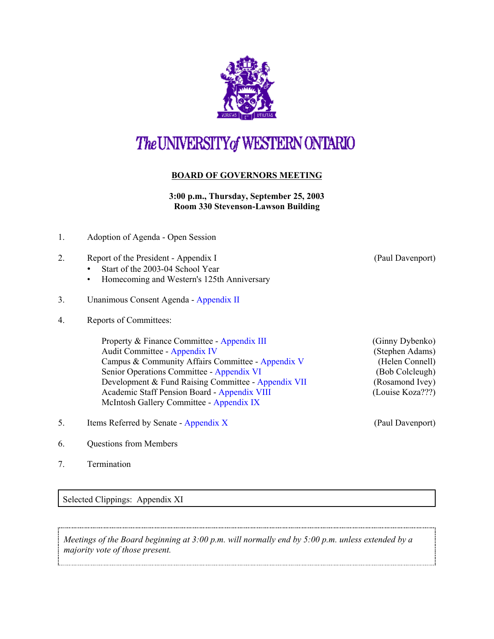

## The UNIVERSITY of WESTERN ONTARIO

## **BOARD OF GOVERNORS MEETING**

**3:00 p.m., Thursday, September 25, 2003 Room 330 Stevenson-Lawson Building**

- 1. Adoption of Agenda Open Session
- 2. Report of the President Appendix I (Paul Davenport)
	- Start of the 2003-04 School Year
	- Homecoming and Western's 125th Anniversary
- 3. Unanimous Consent Agenda - [Appendix II](http://www.uwo.ca/univsec/board/minutes/2003/r0309_consent.pdf)
- 4. Reports of Committees:

Property & Finance Committee - [Appendix III](http://www.uwo.ca/univsec/board/minutes/2003/r0309_pf.pdf) (Ginny Dybenko) Audit Committee - [Appendix IV](http://www.uwo.ca/univsec/board/minutes/2003/r0309_audit.pdf) (Stephen Adams) Campus & Community Affairs Committee - [Appendix V](http://www.uwo.ca/univsec/board/minutes/2003/r0309_ccac.pdf) (Helen Connell) Senior Operations Committee - [Appendix VI](http://www.uwo.ca/univsec/board/minutes/2003/r0309_srops.pdf) (Bob Colcleugh) Development & Fund Raising Committee - [Appendix VII](http://www.uwo.ca/univsec/board/minutes/2003/r0309_dev.pdf) (Rosamond Ivey) Academic Staff Pension Board [- Appendix VIII](http://www.uwo.ca/univsec/board/minutes/2003/r0309_pens.pdf) (Louise Koza???) McIntosh Gallery Committee - [Appendix IX](http://www.uwo.ca/univsec/board/minutes/2003/r0309_mcintosh.pdf)

- 5. Items Referred by Senate  [Appendix X](http://www.uwo.ca/univsec/board/minutes/2003/r0309_sen.pdf) (Paul Davenport)
- 6. Questions from Members
- 7. Termination

Selected Clippings: Appendix XI

*Meetings of the Board beginning at 3:00 p.m. will normally end by 5:00 p.m. unless extended by a majority vote of those present.*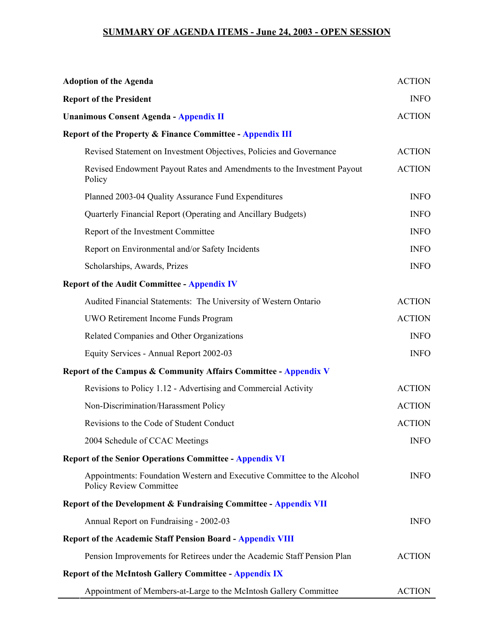## **SUMMARY OF AGENDA ITEMS - June 24, 2003 - OPEN SESSION**

| <b>Adoption of the Agenda</b>                                                                             | <b>ACTION</b> |
|-----------------------------------------------------------------------------------------------------------|---------------|
| <b>Report of the President</b>                                                                            | <b>INFO</b>   |
| <b>Unanimous Consent Agenda - Appendix II</b>                                                             | <b>ACTION</b> |
| <b>Report of the Property &amp; Finance Committee - Appendix III</b>                                      |               |
| Revised Statement on Investment Objectives, Policies and Governance                                       | <b>ACTION</b> |
| Revised Endowment Payout Rates and Amendments to the Investment Payout<br>Policy                          | <b>ACTION</b> |
| Planned 2003-04 Quality Assurance Fund Expenditures                                                       | <b>INFO</b>   |
| Quarterly Financial Report (Operating and Ancillary Budgets)                                              | <b>INFO</b>   |
| Report of the Investment Committee                                                                        | <b>INFO</b>   |
| Report on Environmental and/or Safety Incidents                                                           | <b>INFO</b>   |
| Scholarships, Awards, Prizes                                                                              | <b>INFO</b>   |
| <b>Report of the Audit Committee - Appendix IV</b>                                                        |               |
| Audited Financial Statements: The University of Western Ontario                                           | <b>ACTION</b> |
| UWO Retirement Income Funds Program                                                                       | <b>ACTION</b> |
| Related Companies and Other Organizations                                                                 | <b>INFO</b>   |
| Equity Services - Annual Report 2002-03                                                                   | <b>INFO</b>   |
| Report of the Campus & Community Affairs Committee - Appendix V                                           |               |
| Revisions to Policy 1.12 - Advertising and Commercial Activity                                            | <b>ACTION</b> |
| Non-Discrimination/Harassment Policy                                                                      | <b>ACTION</b> |
| Revisions to the Code of Student Conduct                                                                  | <b>ACTION</b> |
| 2004 Schedule of CCAC Meetings                                                                            | <b>INFO</b>   |
| <b>Report of the Senior Operations Committee - Appendix VI</b>                                            |               |
| Appointments: Foundation Western and Executive Committee to the Alcohol<br><b>Policy Review Committee</b> | <b>INFO</b>   |
| Report of the Development & Fundraising Committee - Appendix VII                                          |               |
| Annual Report on Fundraising - 2002-03                                                                    | <b>INFO</b>   |
| <b>Report of the Academic Staff Pension Board - Appendix VIII</b>                                         |               |
| Pension Improvements for Retirees under the Academic Staff Pension Plan                                   | <b>ACTION</b> |
| <b>Report of the McIntosh Gallery Committee - Appendix IX</b>                                             |               |
| Appointment of Members-at-Large to the McIntosh Gallery Committee                                         | <b>ACTION</b> |